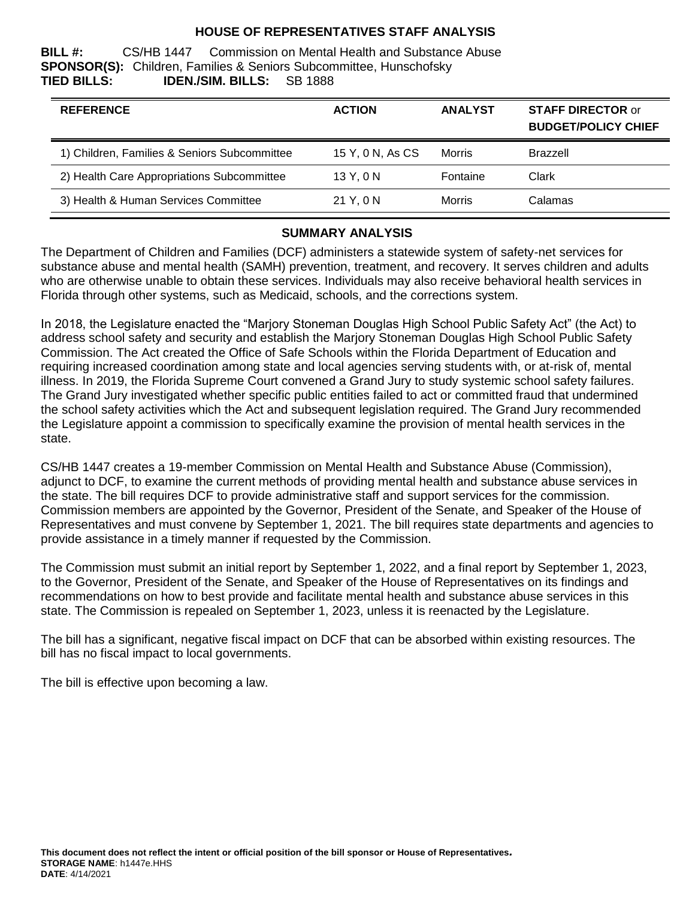### **HOUSE OF REPRESENTATIVES STAFF ANALYSIS**

**BILL #:** CS/HB 1447 Commission on Mental Health and Substance Abuse **SPONSOR(S):** Children, Families & Seniors Subcommittee, Hunschofsky **TIED BILLS: IDEN./SIM. BILLS:** SB 1888

| <b>REFERENCE</b>                             | <b>ACTION</b>    | <b>ANALYST</b> | <b>STAFF DIRECTOR or</b><br><b>BUDGET/POLICY CHIEF</b> |
|----------------------------------------------|------------------|----------------|--------------------------------------------------------|
| 1) Children, Families & Seniors Subcommittee | 15 Y, 0 N, As CS | Morris         | <b>Brazzell</b>                                        |
| 2) Health Care Appropriations Subcommittee   | 13Y.0N           | Fontaine       | Clark                                                  |
| 3) Health & Human Services Committee         | 21 Y, 0 N        | Morris         | Calamas                                                |

#### **SUMMARY ANALYSIS**

The Department of Children and Families (DCF) administers a statewide system of safety-net services for substance abuse and mental health (SAMH) prevention, treatment, and recovery. It serves children and adults who are otherwise unable to obtain these services. Individuals may also receive behavioral health services in Florida through other systems, such as Medicaid, schools, and the corrections system.

In 2018, the Legislature enacted the "Marjory Stoneman Douglas High School Public Safety Act" (the Act) to address school safety and security and establish the Marjory Stoneman Douglas High School Public Safety Commission. The Act created the Office of Safe Schools within the Florida Department of Education and requiring increased coordination among state and local agencies serving students with, or at-risk of, mental illness. In 2019, the Florida Supreme Court convened a Grand Jury to study systemic school safety failures. The Grand Jury investigated whether specific public entities failed to act or committed fraud that undermined the school safety activities which the Act and subsequent legislation required. The Grand Jury recommended the Legislature appoint a commission to specifically examine the provision of mental health services in the state.

CS/HB 1447 creates a 19-member Commission on Mental Health and Substance Abuse (Commission), adjunct to DCF, to examine the current methods of providing mental health and substance abuse services in the state. The bill requires DCF to provide administrative staff and support services for the commission. Commission members are appointed by the Governor, President of the Senate, and Speaker of the House of Representatives and must convene by September 1, 2021. The bill requires state departments and agencies to provide assistance in a timely manner if requested by the Commission.

The Commission must submit an initial report by September 1, 2022, and a final report by September 1, 2023, to the Governor, President of the Senate, and Speaker of the House of Representatives on its findings and recommendations on how to best provide and facilitate mental health and substance abuse services in this state. The Commission is repealed on September 1, 2023, unless it is reenacted by the Legislature.

The bill has a significant, negative fiscal impact on DCF that can be absorbed within existing resources. The bill has no fiscal impact to local governments.

The bill is effective upon becoming a law.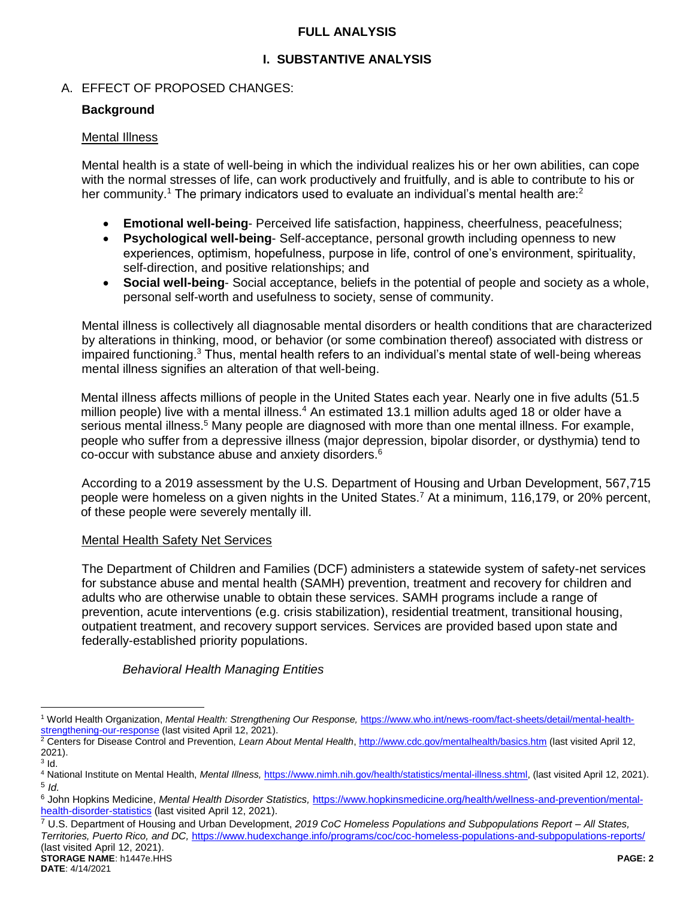### **FULL ANALYSIS**

# **I. SUBSTANTIVE ANALYSIS**

# A. EFFECT OF PROPOSED CHANGES:

## **Background**

## Mental Illness

Mental health is a state of well-being in which the individual realizes his or her own abilities, can cope with the normal stresses of life, can work productively and fruitfully, and is able to contribute to his or her community.<sup>1</sup> The primary indicators used to evaluate an individual's mental health are:<sup>2</sup>

- **Emotional well-being** Perceived life satisfaction, happiness, cheerfulness, peacefulness;
- **Psychological well-being** Self-acceptance, personal growth including openness to new experiences, optimism, hopefulness, purpose in life, control of one's environment, spirituality, self-direction, and positive relationships; and
- **Social well-being** Social acceptance, beliefs in the potential of people and society as a whole, personal self-worth and usefulness to society, sense of community.

Mental illness is collectively all diagnosable mental disorders or health conditions that are characterized by alterations in thinking, mood, or behavior (or some combination thereof) associated with distress or impaired functioning.<sup>3</sup> Thus, mental health refers to an individual's mental state of well-being whereas mental illness signifies an alteration of that well-being.

Mental illness affects millions of people in the United States each year. Nearly one in five adults (51.5 million people) live with a mental illness.<sup>4</sup> An estimated 13.1 million adults aged 18 or older have a serious mental illness.<sup>5</sup> Many people are diagnosed with more than one mental illness. For example, people who suffer from a depressive illness (major depression, bipolar disorder, or dysthymia) tend to co-occur with substance abuse and anxiety disorders.<sup>6</sup>

According to a 2019 assessment by the U.S. Department of Housing and Urban Development, 567,715 people were homeless on a given nights in the United States.<sup>7</sup> At a minimum, 116,179, or 20% percent, of these people were severely mentally ill.

# Mental Health Safety Net Services

The Department of Children and Families (DCF) administers a statewide system of safety-net services for substance abuse and mental health (SAMH) prevention, treatment and recovery for children and adults who are otherwise unable to obtain these services. SAMH programs include a range of prevention, acute interventions (e.g. crisis stabilization), residential treatment, transitional housing, outpatient treatment, and recovery support services. Services are provided based upon state and federally-established priority populations.

# *Behavioral Health Managing Entities*

 $\overline{a}$ <sup>1</sup> World Health Organization, *Mental Health: Strengthening Our Response,* [https://www.who.int/news-room/fact-sheets/detail/mental-health](https://www.who.int/news-room/fact-sheets/detail/mental-health-strengthening-our-response)[strengthening-our-response](https://www.who.int/news-room/fact-sheets/detail/mental-health-strengthening-our-response) (last visited April 12, 2021).

<sup>&</sup>lt;sup>2</sup> Centers for Disease Control and Prevention, Learn About Mental Health[, http://www.cdc.gov/mentalhealth/basics.htm](http://www.cdc.gov/mentalhealth/basics.htm) (last visited April 12, 2021).  $^3$  Id.

<sup>4</sup> National Institute on Mental Health, *Mental Illness,* [https://www.nimh.nih.gov/health/statistics/mental-illness.shtml,](https://www.nimh.nih.gov/health/statistics/mental-illness.shtml) (last visited April 12, 2021). 5 *Id.*

<sup>6</sup> John Hopkins Medicine, *Mental Health Disorder Statistics,* [https://www.hopkinsmedicine.org/health/wellness-and-prevention/mental](https://www.hopkinsmedicine.org/health/wellness-and-prevention/mental-health-disorder-statistics)[health-disorder-statistics](https://www.hopkinsmedicine.org/health/wellness-and-prevention/mental-health-disorder-statistics) (last visited April 12, 2021).

**STORAGE NAME**: h1447e.HHS **PAGE: 2** <sup>7</sup> U.S. Department of Housing and Urban Development, *2019 CoC Homeless Populations and Subpopulations Report – All States, Territories, Puerto Rico, and DC,* <https://www.hudexchange.info/programs/coc/coc-homeless-populations-and-subpopulations-reports/> (last visited April 12, 2021).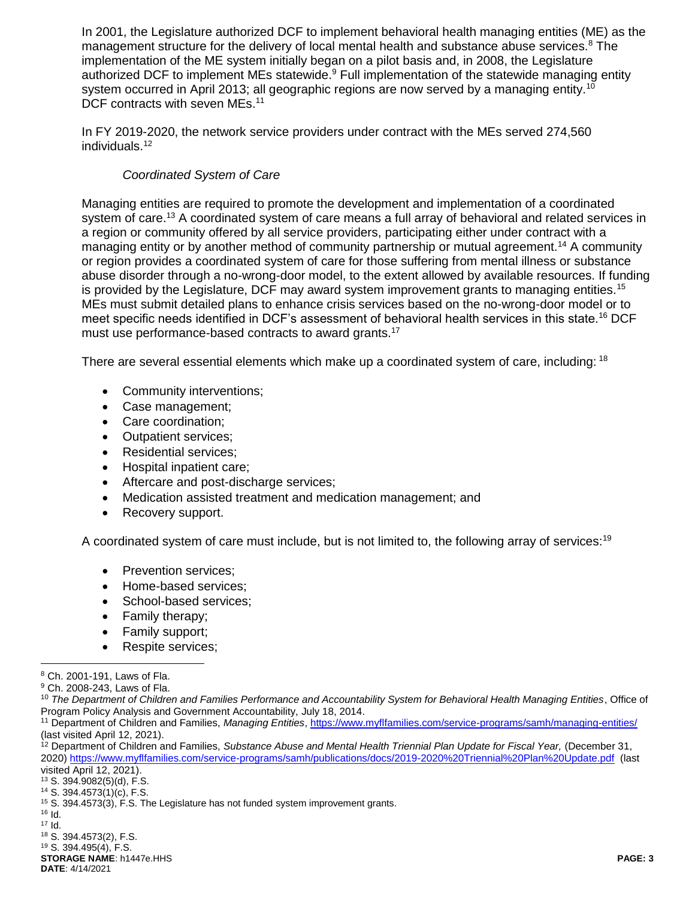In 2001, the Legislature authorized DCF to implement behavioral health managing entities (ME) as the management structure for the delivery of local mental health and substance abuse services.<sup>8</sup> The implementation of the ME system initially began on a pilot basis and, in 2008, the Legislature authorized DCF to implement MEs statewide.<sup>9</sup> Full implementation of the statewide managing entity system occurred in April 2013; all geographic regions are now served by a managing entity.<sup>10</sup> DCF contracts with seven MEs.<sup>11</sup>

In FY 2019-2020, the network service providers under contract with the MEs served 274,560 individuals.<sup>12</sup>

## *Coordinated System of Care*

Managing entities are required to promote the development and implementation of a coordinated system of care.<sup>13</sup> A coordinated system of care means a full array of behavioral and related services in a region or community offered by all service providers, participating either under contract with a managing entity or by another method of community partnership or mutual agreement.<sup>14</sup> A community or region provides a coordinated system of care for those suffering from mental illness or substance abuse disorder through a no-wrong-door model, to the extent allowed by available resources. If funding is provided by the Legislature, DCF may award system improvement grants to managing entities.<sup>15</sup> MEs must submit detailed plans to enhance crisis services based on the no-wrong-door model or to meet specific needs identified in DCF's assessment of behavioral health services in this state.<sup>16</sup> DCF must use performance-based contracts to award grants.<sup>17</sup>

There are several essential elements which make up a coordinated system of care, including: <sup>18</sup>

- Community interventions;
- Case management;
- Care coordination;
- Outpatient services;
- Residential services;
- Hospital inpatient care;
- Aftercare and post-discharge services;
- Medication assisted treatment and medication management; and
- Recovery support.

A coordinated system of care must include, but is not limited to, the following array of services:<sup>19</sup>

- Prevention services:
- Home-based services;
- School-based services:
- Family therapy;
- Family support;
- Respite services;

<sup>13</sup> S. 394.9082(5)(d), F.S.

 $16$  Id.

 $\overline{a}$ 

**STORAGE NAME**: h1447e.HHS **PAGE: 3**

<sup>8</sup> Ch. 2001-191, Laws of Fla.

<sup>9</sup> Ch. 2008-243, Laws of Fla.

<sup>10</sup> *The Department of Children and Families Performance and Accountability System for Behavioral Health Managing Entities*, Office of Program Policy Analysis and Government Accountability, July 18, 2014.

<sup>11</sup> Department of Children and Families, *Managing Entities*,<https://www.myflfamilies.com/service-programs/samh/managing-entities/> (last visited April 12, 2021).

<sup>&</sup>lt;sup>12</sup> Department of Children and Families, Substance Abuse and Mental Health Triennial Plan Update for Fiscal Year, (December 31, 2020[\) https://www.myflfamilies.com/service-programs/samh/publications/docs/2019-2020%20Triennial%20Plan%20Update.pdf](https://www.myflfamilies.com/service-programs/samh/publications/docs/2019-2020%20Triennial%20Plan%20Update.pdf) (last visited April 12, 2021).

<sup>14</sup> S. 394.4573(1)(c), F.S.

<sup>15</sup> S. 394.4573(3), F.S. The Legislature has not funded system improvement grants.

<sup>17</sup> Id.

<sup>18</sup> S. 394.4573(2), F.S. <sup>19</sup> S. 394.495(4), F.S.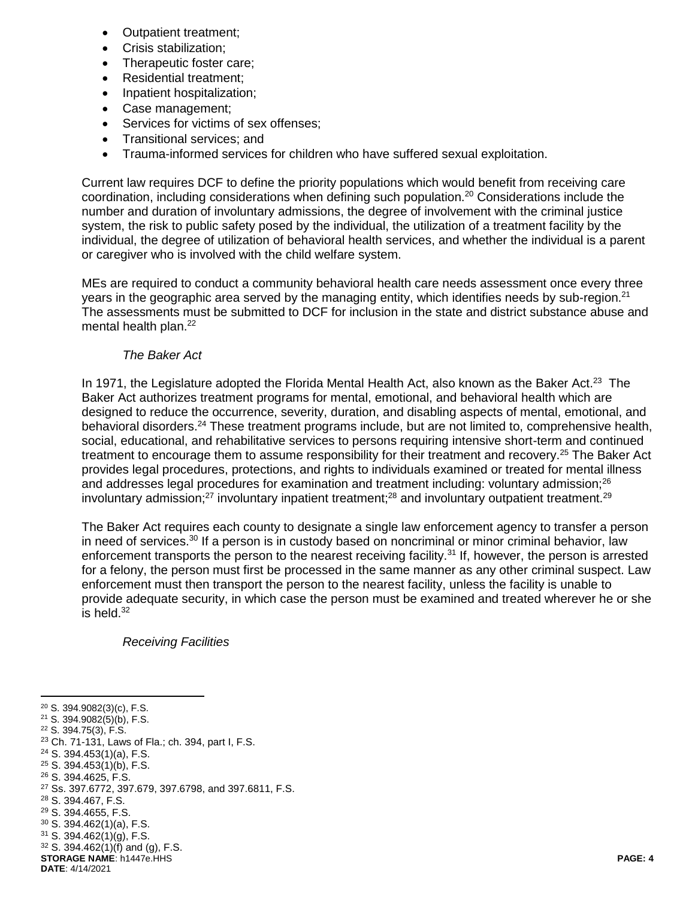- Outpatient treatment;
- Crisis stabilization;
- Therapeutic foster care;
- Residential treatment;
- Inpatient hospitalization;
- Case management;
- Services for victims of sex offenses;
- Transitional services: and
- Trauma-informed services for children who have suffered sexual exploitation.

Current law requires DCF to define the priority populations which would benefit from receiving care coordination, including considerations when defining such population.<sup>20</sup> Considerations include the number and duration of involuntary admissions, the degree of involvement with the criminal justice system, the risk to public safety posed by the individual, the utilization of a treatment facility by the individual, the degree of utilization of behavioral health services, and whether the individual is a parent or caregiver who is involved with the child welfare system.

MEs are required to conduct a community behavioral health care needs assessment once every three years in the geographic area served by the managing entity, which identifies needs by sub-region. $2<sup>1</sup>$ The assessments must be submitted to DCF for inclusion in the state and district substance abuse and mental health plan.<sup>22</sup>

#### *The Baker Act*

In 1971, the Legislature adopted the Florida Mental Health Act, also known as the Baker Act.<sup>23</sup> The Baker Act authorizes treatment programs for mental, emotional, and behavioral health which are designed to reduce the occurrence, severity, duration, and disabling aspects of mental, emotional, and behavioral disorders.<sup>24</sup> These treatment programs include, but are not limited to, comprehensive health, social, educational, and rehabilitative services to persons requiring intensive short-term and continued treatment to encourage them to assume responsibility for their treatment and recovery.<sup>25</sup> The Baker Act provides legal procedures, protections, and rights to individuals examined or treated for mental illness and addresses legal procedures for examination and treatment including: voluntary admission;<sup>26</sup> involuntary admission;<sup>27</sup> involuntary inpatient treatment;<sup>28</sup> and involuntary outpatient treatment.<sup>29</sup>

The Baker Act requires each county to designate a single law enforcement agency to transfer a person in need of services.<sup>30</sup> If a person is in custody based on noncriminal or minor criminal behavior, law enforcement transports the person to the nearest receiving facility.<sup>31</sup> If, however, the person is arrested for a felony, the person must first be processed in the same manner as any other criminal suspect. Law enforcement must then transport the person to the nearest facility, unless the facility is unable to provide adequate security, in which case the person must be examined and treated wherever he or she is held. $32$ 

#### *Receiving Facilities*

**STORAGE NAME**: h1447e.HHS **PAGE: 4 DATE**: 4/14/2021  $\overline{a}$  S. 394.9082(3)(c), F.S. S. 394.9082(5)(b), F.S. S. 394.75(3), F.S. Ch. 71-131, Laws of Fla.; ch. 394, part I, F.S. S. 394.453(1)(a), F.S. S. 394.453(1)(b), F.S. S. 394.4625, F.S. Ss. 397.6772, 397.679, 397.6798, and 397.6811, F.S. S. 394.467, F.S. S. 394.4655, F.S. S. 394.462(1)(a), F.S. S. 394.462(1)(g), F.S. S. 394.462(1)(f) and (g), F.S.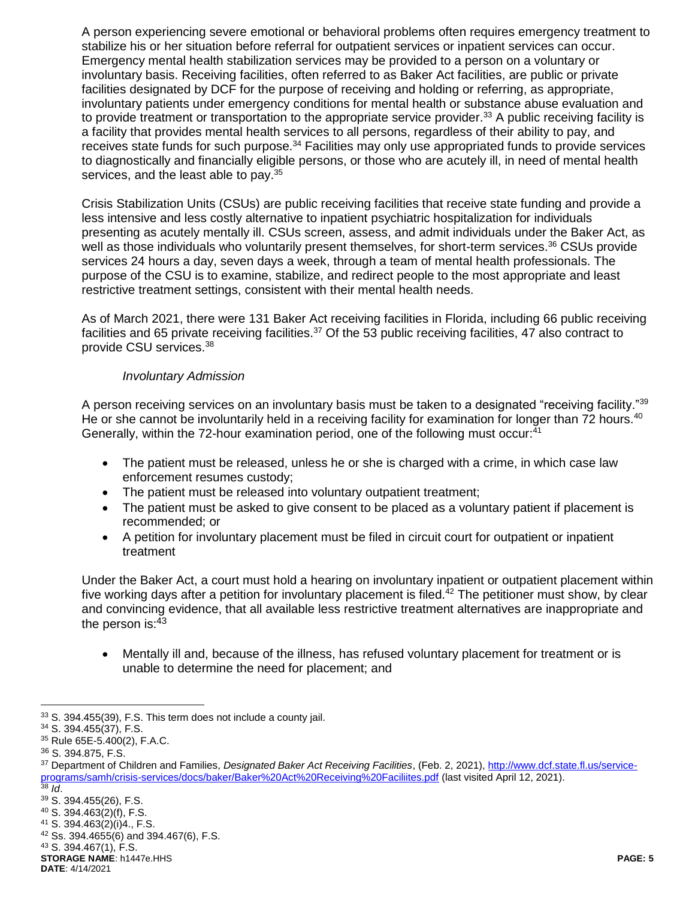A person experiencing severe emotional or behavioral problems often requires emergency treatment to stabilize his or her situation before referral for outpatient services or inpatient services can occur. Emergency mental health stabilization services may be provided to a person on a voluntary or involuntary basis. Receiving facilities, often referred to as Baker Act facilities, are public or private facilities designated by DCF for the purpose of receiving and holding or referring, as appropriate, involuntary patients under emergency conditions for mental health or substance abuse evaluation and to provide treatment or transportation to the appropriate service provider.<sup>33</sup> A public receiving facility is a facility that provides mental health services to all persons, regardless of their ability to pay, and receives state funds for such purpose.<sup>34</sup> Facilities may only use appropriated funds to provide services to diagnostically and financially eligible persons, or those who are acutely ill, in need of mental health services, and the least able to pay.<sup>35</sup>

Crisis Stabilization Units (CSUs) are public receiving facilities that receive state funding and provide a less intensive and less costly alternative to inpatient psychiatric hospitalization for individuals presenting as acutely mentally ill. CSUs screen, assess, and admit individuals under the Baker Act, as well as those individuals who voluntarily present themselves, for short-term services.<sup>36</sup> CSUs provide services 24 hours a day, seven days a week, through a team of mental health professionals. The purpose of the CSU is to examine, stabilize, and redirect people to the most appropriate and least restrictive treatment settings, consistent with their mental health needs.

As of March 2021, there were 131 Baker Act receiving facilities in Florida, including 66 public receiving facilities and 65 private receiving facilities.<sup>37</sup> Of the 53 public receiving facilities, 47 also contract to provide CSU services.<sup>38</sup>

#### *Involuntary Admission*

A person receiving services on an involuntary basis must be taken to a designated "receiving facility."<sup>39</sup> He or she cannot be involuntarily held in a receiving facility for examination for longer than 72 hours.<sup>40</sup> Generally, within the 72-hour examination period, one of the following must occur:<sup>41</sup>

- The patient must be released, unless he or she is charged with a crime, in which case law enforcement resumes custody;
- The patient must be released into voluntary outpatient treatment;
- The patient must be asked to give consent to be placed as a voluntary patient if placement is recommended; or
- A petition for involuntary placement must be filed in circuit court for outpatient or inpatient treatment

Under the Baker Act, a court must hold a hearing on involuntary inpatient or outpatient placement within five working days after a petition for involuntary placement is filed.<sup>42</sup> The petitioner must show, by clear and convincing evidence, that all available less restrictive treatment alternatives are inappropriate and the person is: 43

 Mentally ill and, because of the illness, has refused voluntary placement for treatment or is unable to determine the need for placement; and

 $\overline{a}$ 

 $\overline{38}$  *Id.* <sup>39</sup> S. 394.455(26), F.S.

<sup>33</sup> S. 394.455(39), F.S. This term does not include a county jail.

<sup>34</sup> S. 394.455(37), F.S.

<sup>35</sup> Rule 65E-5.400(2), F.A.C.

<sup>36</sup> S. 394.875, F.S.

<sup>37</sup> Department of Children and Families, *Designated Baker Act Receiving Facilities*, (Feb. 2, 2021), [http://www.dcf.state.fl.us/service](http://www.dcf.state.fl.us/service-programs/samh/crisis-services/docs/baker/Baker%20Act%20Receiving%20Faciliites.pdf)[programs/samh/crisis-services/docs/baker/Baker%20Act%20Receiving%20Faciliites.pdf](http://www.dcf.state.fl.us/service-programs/samh/crisis-services/docs/baker/Baker%20Act%20Receiving%20Faciliites.pdf) (last visited April 12, 2021).

<sup>40</sup> S. 394.463(2)(f), F.S.

<sup>41</sup> S. 394.463(2)(i)4., F.S.

<sup>42</sup> Ss. 394.4655(6) and 394.467(6), F.S.

<sup>43</sup> S. 394.467(1), F.S.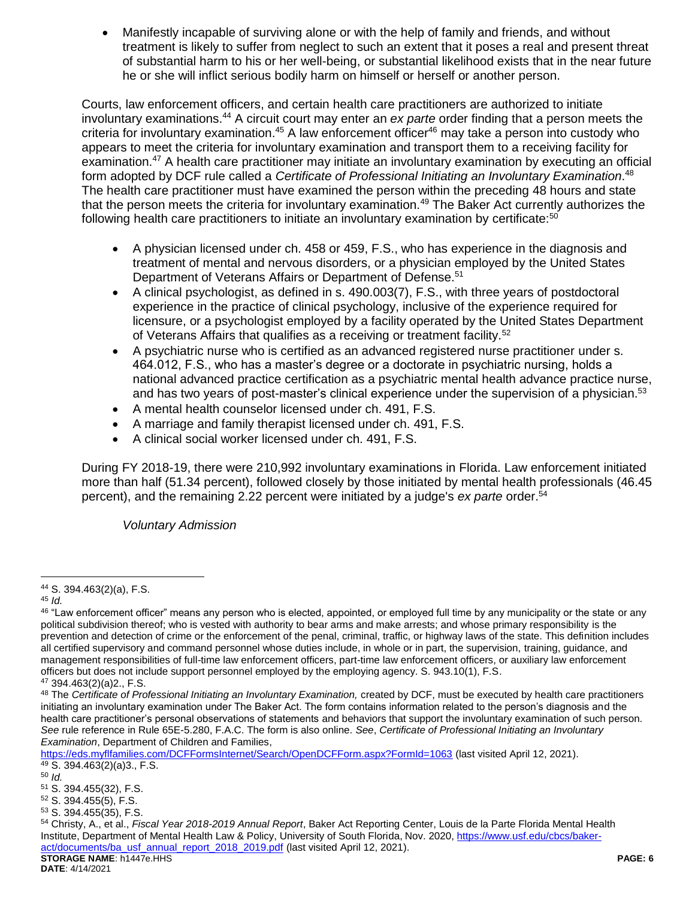Manifestly incapable of surviving alone or with the help of family and friends, and without treatment is likely to suffer from neglect to such an extent that it poses a real and present threat of substantial harm to his or her well-being, or substantial likelihood exists that in the near future he or she will inflict serious bodily harm on himself or herself or another person.

Courts, law enforcement officers, and certain health care practitioners are authorized to initiate involuntary examinations.<sup>44</sup> A circuit court may enter an *ex parte* order finding that a person meets the criteria for involuntary examination.<sup>45</sup> A law enforcement officer<sup>46</sup> may take a person into custody who appears to meet the criteria for involuntary examination and transport them to a receiving facility for examination.<sup>47</sup> A health care practitioner may initiate an involuntary examination by executing an official form adopted by DCF rule called a *Certificate of Professional Initiating an Involuntary Examination*. 48 The health care practitioner must have examined the person within the preceding 48 hours and state that the person meets the criteria for involuntary examination.<sup>49</sup> The Baker Act currently authorizes the following health care practitioners to initiate an involuntary examination by certificate:<sup>50</sup>

- A physician licensed under ch. 458 or 459, F.S., who has experience in the diagnosis and treatment of mental and nervous disorders, or a physician employed by the United States Department of Veterans Affairs or Department of Defense.<sup>51</sup>
- A clinical psychologist, as defined in s. 490.003(7), F.S., with three years of postdoctoral experience in the practice of clinical psychology, inclusive of the experience required for licensure, or a psychologist employed by a facility operated by the United States Department of Veterans Affairs that qualifies as a receiving or treatment facility.<sup>52</sup>
- A psychiatric nurse who is certified as an advanced registered nurse practitioner under s. 464.012, F.S., who has a master's degree or a doctorate in psychiatric nursing, holds a national advanced practice certification as a psychiatric mental health advance practice nurse, and has two years of post-master's clinical experience under the supervision of a physician.<sup>53</sup>
- A mental health counselor licensed under ch. 491, F.S.
- A marriage and family therapist licensed under ch. 491, F.S.
- A clinical social worker licensed under ch. 491, F.S.

During FY 2018-19, there were 210,992 involuntary examinations in Florida. Law enforcement initiated more than half (51.34 percent), followed closely by those initiated by mental health professionals (46.45 percent), and the remaining 2.22 percent were initiated by a judge's *ex parte* order.<sup>54</sup>

*Voluntary Admission*

<https://eds.myflfamilies.com/DCFFormsInternet/Search/OpenDCFForm.aspx?FormId=1063> (last visited April 12, 2021).  $49$  S. 394.463(2)(a)3., F.S.

<sup>52</sup> S. 394.455(5), F.S.

 $\overline{a}$ <sup>44</sup> S. 394.463(2)(a), F.S.

<sup>45</sup> *Id.*

<sup>&</sup>lt;sup>46</sup> "Law enforcement officer" means any person who is elected, appointed, or employed full time by any municipality or the state or any political subdivision thereof; who is vested with authority to bear arms and make arrests; and whose primary responsibility is the prevention and detection of crime or the enforcement of the penal, criminal, traffic, or highway laws of the state. This definition includes all certified supervisory and command personnel whose duties include, in whole or in part, the supervision, training, guidance, and management responsibilities of full-time law enforcement officers, part-time law enforcement officers, or auxiliary law enforcement officers but does not include support personnel employed by the employing agency. S. 943.10(1), F.S.

 $47$  394.463(2)(a)2., F.S.

<sup>48</sup> The *Certificate of Professional Initiating an Involuntary Examination,* created by DCF, must be executed by health care practitioners initiating an involuntary examination under The Baker Act. The form contains information related to the person's diagnosis and the health care practitioner's personal observations of statements and behaviors that support the involuntary examination of such person. *See* rule reference in Rule 65E-5.280, F.A.C. The form is also online. *See*, *Certificate of Professional Initiating an Involuntary Examination*, Department of Children and Families,

<sup>50</sup> *Id.*

<sup>51</sup> S. 394.455(32), F.S.

<sup>53</sup> S. 394.455(35), F.S.

**STORAGE NAME**: h1447e.HHS **PAGE: 6** <sup>54</sup> Christy, A., et al., *Fiscal Year 2018-2019 Annual Report*, Baker Act Reporting Center, Louis de la Parte Florida Mental Health Institute, Department of Mental Health Law & Policy, University of South Florida, Nov. 2020[, https://www.usf.edu/cbcs/baker](https://www.usf.edu/cbcs/baker-act/documents/ba_usf_annual_report_2018_2019.pdf)[act/documents/ba\\_usf\\_annual\\_report\\_2018\\_2019.pdf](https://www.usf.edu/cbcs/baker-act/documents/ba_usf_annual_report_2018_2019.pdf) (last visited April 12, 2021).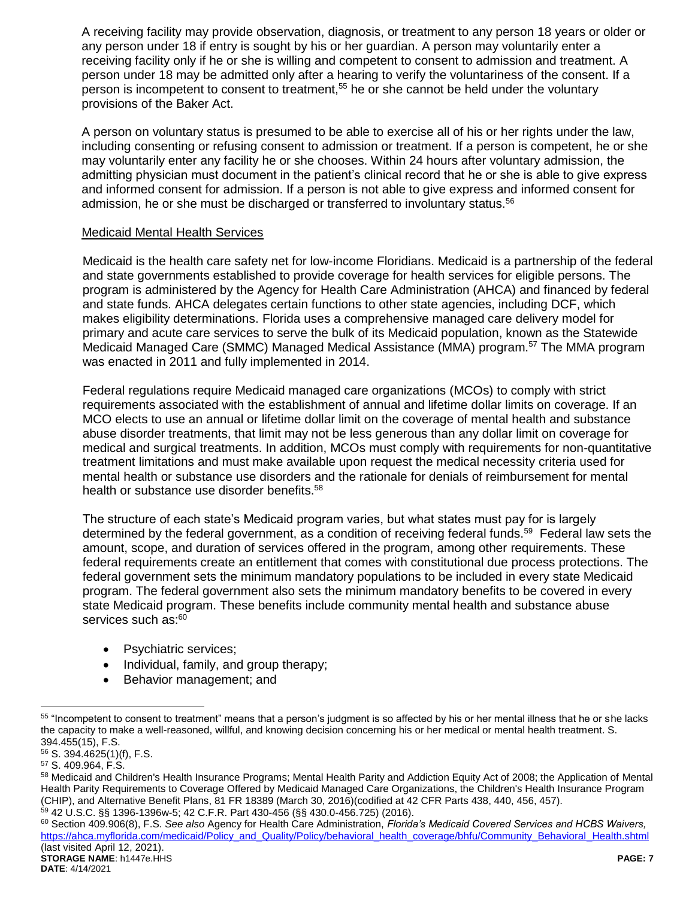A receiving facility may provide observation, diagnosis, or treatment to any person 18 years or older or any person under 18 if entry is sought by his or her guardian. A person may voluntarily enter a receiving facility only if he or she is willing and competent to consent to admission and treatment. A person under 18 may be admitted only after a hearing to verify the voluntariness of the consent. If a person is incompetent to consent to treatment.<sup>55</sup> he or she cannot be held under the voluntary provisions of the Baker Act.

A person on voluntary status is presumed to be able to exercise all of his or her rights under the law, including consenting or refusing consent to admission or treatment. If a person is competent, he or she may voluntarily enter any facility he or she chooses. Within 24 hours after voluntary admission, the admitting physician must document in the patient's clinical record that he or she is able to give express and informed consent for admission. If a person is not able to give express and informed consent for admission, he or she must be discharged or transferred to involuntary status.<sup>56</sup>

#### Medicaid Mental Health Services

Medicaid is the health care safety net for low-income Floridians. Medicaid is a partnership of the federal and state governments established to provide coverage for health services for eligible persons. The program is administered by the Agency for Health Care Administration (AHCA) and financed by federal and state funds. AHCA delegates certain functions to other state agencies, including DCF, which makes eligibility determinations. Florida uses a comprehensive managed care delivery model for primary and acute care services to serve the bulk of its Medicaid population, known as the Statewide Medicaid Managed Care (SMMC) Managed Medical Assistance (MMA) program.<sup>57</sup> The MMA program was enacted in 2011 and fully implemented in 2014.

Federal regulations require Medicaid managed care organizations (MCOs) to comply with strict requirements associated with the establishment of annual and lifetime dollar limits on coverage. If an MCO elects to use an annual or lifetime dollar limit on the coverage of mental health and substance abuse disorder treatments, that limit may not be less generous than any dollar limit on coverage for medical and surgical treatments. In addition, MCOs must comply with requirements for non-quantitative treatment limitations and must make available upon request the medical necessity criteria used for mental health or substance use disorders and the rationale for denials of reimbursement for mental health or substance use disorder benefits.<sup>58</sup>

The structure of each state's Medicaid program varies, but what states must pay for is largely determined by the federal government, as a condition of receiving federal funds.<sup>59</sup> Federal law sets the amount, scope, and duration of services offered in the program, among other requirements. These federal requirements create an entitlement that comes with constitutional due process protections. The federal government sets the minimum mandatory populations to be included in every state Medicaid program. The federal government also sets the minimum mandatory benefits to be covered in every state Medicaid program. These benefits include community mental health and substance abuse services such as:<sup>60</sup>

- Psychiatric services;
- Individual, family, and group therapy;
- Behavior management; and

<sup>55</sup> "Incompetent to consent to treatment" means that a person's judgment is so affected by his or her mental illness that he or she lacks the capacity to make a well-reasoned, willful, and knowing decision concerning his or her medical or mental health treatment. S. 394.455(15), F.S.

<sup>56</sup> S. 394.4625(1)(f), F.S.

<sup>57</sup> S. 409.964, F.S.

<sup>58</sup> Medicaid and Children's Health Insurance Programs; Mental Health Parity and Addiction Equity Act of 2008; the Application of Mental Health Parity Requirements to Coverage Offered by Medicaid Managed Care Organizations, the Children's Health Insurance Program (CHIP), and Alternative Benefit Plans, 81 FR 18389 (March 30, 2016)(codified at 42 CFR Parts 438, 440, 456, 457). <sup>59</sup> 42 U.S.C. §§ 1396-1396w-5; 42 C.F.R. Part 430-456 (§§ 430.0-456.725) (2016).

<sup>60</sup> Section 409.906(8), F.S. *See also* Agency for Health Care Administration, *Florida's Medicaid Covered Services and HCBS Waivers,*  [https://ahca.myflorida.com/medicaid/Policy\\_and\\_Quality/Policy/behavioral\\_health\\_coverage/bhfu/Community\\_Behavioral\\_Health.shtml](https://ahca.myflorida.com/medicaid/Policy_and_Quality/Policy/behavioral_health_coverage/bhfu/Community_Behavioral_Health.shtml) (last visited April 12, 2021).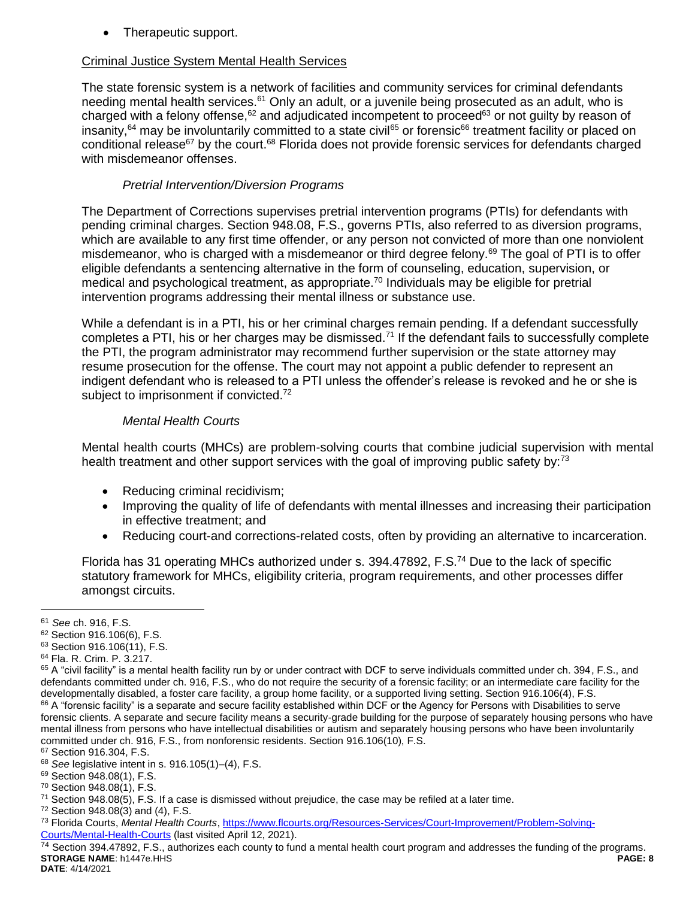• Therapeutic support.

## Criminal Justice System Mental Health Services

The state forensic system is a network of facilities and community services for criminal defendants needing mental health services.<sup>61</sup> Only an adult, or a juvenile being prosecuted as an adult, who is charged with a felony offense,  $62$  and adjudicated incompetent to proceed $63$  or not guilty by reason of insanity,<sup>64</sup> may be involuntarily committed to a state civil<sup>65</sup> or forensic<sup>66</sup> treatment facility or placed on conditional release<sup>67</sup> by the court.<sup>68</sup> Florida does not provide forensic services for defendants charged with misdemeanor offenses.

## *Pretrial Intervention/Diversion Programs*

The Department of Corrections supervises pretrial intervention programs (PTIs) for defendants with pending criminal charges. Section 948.08, F.S., governs PTIs, also referred to as diversion programs, which are available to any first time offender, or any person not convicted of more than one nonviolent misdemeanor, who is charged with a misdemeanor or third degree felony.<sup>69</sup> The goal of PTI is to offer eligible defendants a sentencing alternative in the form of counseling, education, supervision, or medical and psychological treatment, as appropriate.<sup>70</sup> Individuals may be eligible for pretrial intervention programs addressing their mental illness or substance use.

While a defendant is in a PTI, his or her criminal charges remain pending. If a defendant successfully completes a PTI, his or her charges may be dismissed.<sup>71</sup> If the defendant fails to successfully complete the PTI, the program administrator may recommend further supervision or the state attorney may resume prosecution for the offense. The court may not appoint a public defender to represent an indigent defendant who is released to a PTI unless the offender's release is revoked and he or she is subject to imprisonment if convicted.<sup>72</sup>

## *Mental Health Courts*

Mental health courts (MHCs) are problem-solving courts that combine judicial supervision with mental health treatment and other support services with the goal of improving public safety by:<sup>73</sup>

- Reducing criminal recidivism;
- Improving the quality of life of defendants with mental illnesses and increasing their participation in effective treatment; and
- Reducing court-and corrections-related costs, often by providing an alternative to incarceration.

Florida has 31 operating MHCs authorized under s. 394.47892, F.S.<sup>74</sup> Due to the lack of specific statutory framework for MHCs, eligibility criteria, program requirements, and other processes differ amongst circuits.

 $\overline{a}$ 

**STORAGE NAME**: h1447e.HHS **PAGE: 8 DATE**: 4/14/2021 <sup>74</sup> Section 394.47892, F.S., authorizes each county to fund a mental health court program and addresses the funding of the programs.

<sup>61</sup> *See* ch. 916, F.S.

<sup>62</sup> Section 916.106(6), F.S.

<sup>63</sup> Section 916.106(11), F.S.

<sup>64</sup> Fla. R. Crim. P. 3.217.

<sup>65</sup> A "civil facility" is a mental health facility run by or under contract with DCF to serve individuals committed under ch. 394, F.S., and defendants committed under ch. 916, F.S., who do not require the security of a forensic facility; or an intermediate care facility for the developmentally disabled, a foster care facility, a group home facility, or a supported living setting. Section 916.106(4), F.S. 66 A "forensic facility" is a separate and secure facility established within DCF or the Agency for Persons with Disabilities to serve forensic clients. A separate and secure facility means a security-grade building for the purpose of separately housing persons who have mental illness from persons who have intellectual disabilities or autism and separately housing persons who have been involuntarily committed under ch. 916, F.S., from nonforensic residents. Section 916.106(10), F.S.

<sup>&</sup>lt;sup>67</sup> Section 916.304, F.S.

<sup>68</sup> *See* legislative intent in s. 916.105(1)–(4), F.S.

<sup>69</sup> Section 948.08(1), F.S.

<sup>70</sup> Section 948.08(1), F.S.

 $71$  Section 948.08(5), F.S. If a case is dismissed without prejudice, the case may be refiled at a later time.

<sup>72</sup> Section 948.08(3) and (4), F.S.

<sup>73</sup> Florida Courts, *Mental Health Courts*, [https://www.flcourts.org/Resources-Services/Court-Improvement/Problem-Solving-](https://www.flcourts.org/Resources-Services/Court-Improvement/Problem-Solving-Courts/Mental-Health-Courts)[Courts/Mental-Health-Courts](https://www.flcourts.org/Resources-Services/Court-Improvement/Problem-Solving-Courts/Mental-Health-Courts) (last visited April 12, 2021).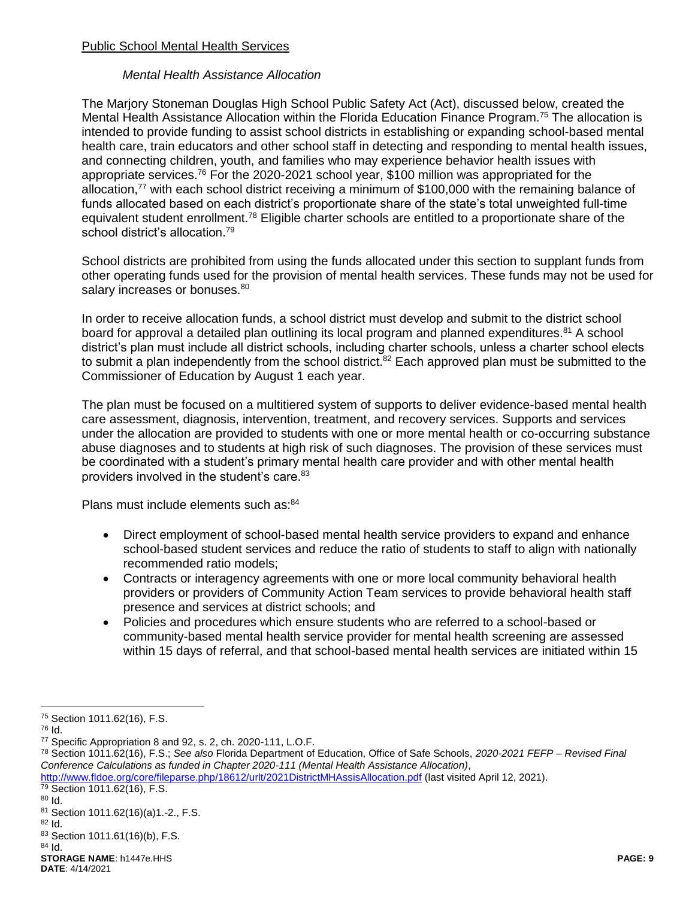### Public School Mental Health Services

#### *Mental Health Assistance Allocation*

The Marjory Stoneman Douglas High School Public Safety Act (Act), discussed below, created the Mental Health Assistance Allocation within the Florida Education Finance Program.<sup>75</sup> The allocation is intended to provide funding to assist school districts in establishing or expanding school-based mental health care, train educators and other school staff in detecting and responding to mental health issues, and connecting children, youth, and families who may experience behavior health issues with appropriate services.<sup>76</sup> For the 2020-2021 school year, \$100 million was appropriated for the allocation, $77$  with each school district receiving a minimum of \$100,000 with the remaining balance of funds allocated based on each district's proportionate share of the state's total unweighted full-time equivalent student enrollment.<sup>78</sup> Eligible charter schools are entitled to a proportionate share of the school district's allocation.<sup>79</sup>

School districts are prohibited from using the funds allocated under this section to supplant funds from other operating funds used for the provision of mental health services. These funds may not be used for salary increases or bonuses.<sup>80</sup>

In order to receive allocation funds, a school district must develop and submit to the district school board for approval a detailed plan outlining its local program and planned expenditures.<sup>81</sup> A school district's plan must include all district schools, including charter schools, unless a charter school elects to submit a plan independently from the school district.<sup>82</sup> Each approved plan must be submitted to the Commissioner of Education by August 1 each year.

The plan must be focused on a multitiered system of supports to deliver evidence-based mental health care assessment, diagnosis, intervention, treatment, and recovery services. Supports and services under the allocation are provided to students with one or more mental health or co-occurring substance abuse diagnoses and to students at high risk of such diagnoses. The provision of these services must be coordinated with a student's primary mental health care provider and with other mental health providers involved in the student's care.<sup>83</sup>

Plans must include elements such as: 84

- Direct employment of school-based mental health service providers to expand and enhance school-based student services and reduce the ratio of students to staff to align with nationally recommended ratio models;
- Contracts or interagency agreements with one or more local community behavioral health providers or providers of Community Action Team services to provide behavioral health staff presence and services at district schools; and
- Policies and procedures which ensure students who are referred to a school-based or community-based mental health service provider for mental health screening are assessed within 15 days of referral, and that school-based mental health services are initiated within 15

<http://www.fldoe.org/core/fileparse.php/18612/urlt/2021DistrictMHAssisAllocation.pdf> (last visited April 12, 2021).  $\frac{79}{79}$  Section 1011.62(16), F.S.

<sup>80</sup> Id.

 $\overline{a}$ <sup>75</sup> Section 1011.62(16), F.S.

<sup>76</sup> Id.

<sup>77</sup> Specific Appropriation 8 and 92, s. 2, ch. 2020-111, L.O.F.

<sup>78</sup> Section 1011.62(16), F.S.; *See also* Florida Department of Education, Office of Safe Schools, *2020-2021 FEFP – Revised Final Conference Calculations as funded in Chapter 2020-111 (Mental Health Assistance Allocation)*,

<sup>81</sup> Section 1011.62(16)(a)1.-2., F.S.

 $82$  Id.

<sup>83</sup> Section 1011.61(16)(b), F.S.

**STORAGE NAME**: h1447e.HHS **PAGE: 9** <sup>84</sup> Id.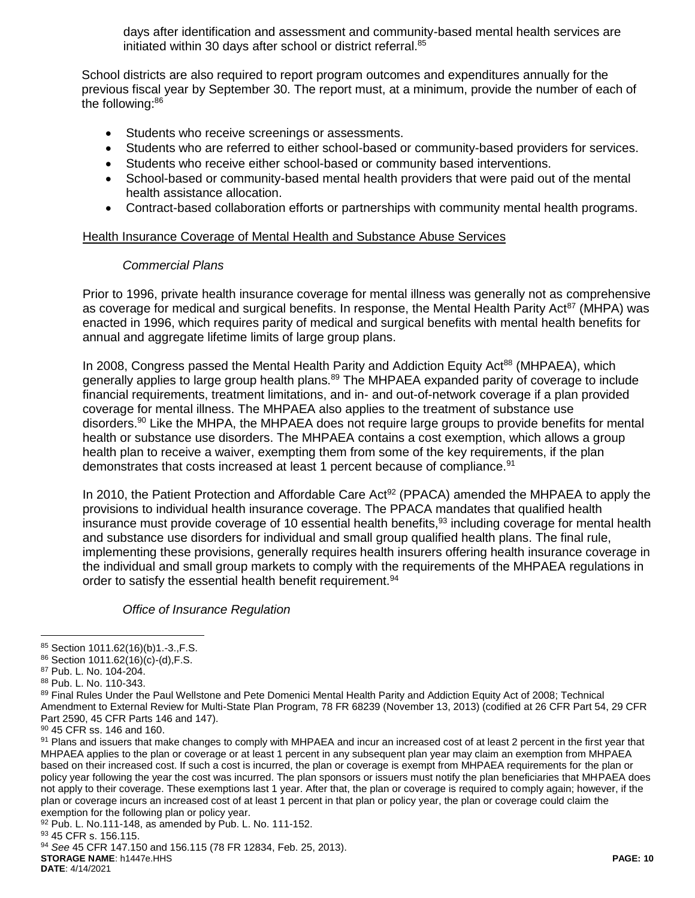days after identification and assessment and community-based mental health services are initiated within 30 days after school or district referral.<sup>85</sup>

School districts are also required to report program outcomes and expenditures annually for the previous fiscal year by September 30. The report must, at a minimum, provide the number of each of the following:<sup>86</sup>

- Students who receive screenings or assessments.
- Students who are referred to either school-based or community-based providers for services.
- Students who receive either school-based or community based interventions.
- School-based or community-based mental health providers that were paid out of the mental health assistance allocation.
- Contract-based collaboration efforts or partnerships with community mental health programs.

#### Health Insurance Coverage of Mental Health and Substance Abuse Services

#### *Commercial Plans*

Prior to 1996, private health insurance coverage for mental illness was generally not as comprehensive as coverage for medical and surgical benefits. In response, the Mental Health Parity Act<sup>87</sup> (MHPA) was enacted in 1996, which requires parity of medical and surgical benefits with mental health benefits for annual and aggregate lifetime limits of large group plans.

In 2008, Congress passed the Mental Health Parity and Addiction Equity Act<sup>88</sup> (MHPAEA), which generally applies to large group health plans.<sup>89</sup> The MHPAEA expanded parity of coverage to include financial requirements, treatment limitations, and in- and out-of-network coverage if a plan provided coverage for mental illness. The MHPAEA also applies to the treatment of substance use disorders.<sup>90</sup> Like the MHPA, the MHPAEA does not require large groups to provide benefits for mental health or substance use disorders. The MHPAEA contains a cost exemption, which allows a group health plan to receive a waiver, exempting them from some of the key requirements, if the plan demonstrates that costs increased at least 1 percent because of compliance.<sup>91</sup>

In 2010, the Patient Protection and Affordable Care  $Act^{92}$  (PPACA) amended the MHPAEA to apply the provisions to individual health insurance coverage. The PPACA mandates that qualified health insurance must provide coverage of 10 essential health benefits,<sup>93</sup> including coverage for mental health and substance use disorders for individual and small group qualified health plans. The final rule, implementing these provisions, generally requires health insurers offering health insurance coverage in the individual and small group markets to comply with the requirements of the MHPAEA regulations in order to satisfy the essential health benefit requirement.<sup>94</sup>

*Office of Insurance Regulation*

 $\overline{a}$ 

<sup>90</sup> 45 CFR ss. 146 and 160.

<sup>92</sup> Pub. L. No.111-148, as amended by Pub. L. No. 111-152. 93 45 CFR s. 156.115.

**STORAGE NAME**: h1447e.HHS **PAGE: 10 DATE**: 4/14/2021 <sup>94</sup> *See* 45 CFR 147.150 and 156.115 (78 FR 12834, Feb. 25, 2013).

<sup>85</sup> Section 1011.62(16)(b)1.-3., F.S.

<sup>86</sup> Section 1011.62(16)(c)-(d),F.S.

<sup>87</sup> Pub. L. No. 104-204.

<sup>88</sup> Pub. L. No. 110-343.

<sup>89</sup> Final Rules Under the Paul Wellstone and Pete Domenici Mental Health Parity and Addiction Equity Act of 2008; Technical Amendment to External Review for Multi-State Plan Program, 78 FR 68239 (November 13, 2013) (codified at 26 CFR Part 54, 29 CFR Part 2590, 45 CFR Parts 146 and 147).

<sup>91</sup> Plans and issuers that make changes to comply with MHPAEA and incur an increased cost of at least 2 percent in the first year that MHPAEA applies to the plan or coverage or at least 1 percent in any subsequent plan year may claim an exemption from MHPAEA based on their increased cost. If such a cost is incurred, the plan or coverage is exempt from MHPAEA requirements for the plan or policy year following the year the cost was incurred. The plan sponsors or issuers must notify the plan beneficiaries that MHPAEA does not apply to their coverage. These exemptions last 1 year. After that, the plan or coverage is required to comply again; however, if the plan or coverage incurs an increased cost of at least 1 percent in that plan or policy year, the plan or coverage could claim the exemption for the following plan or policy year.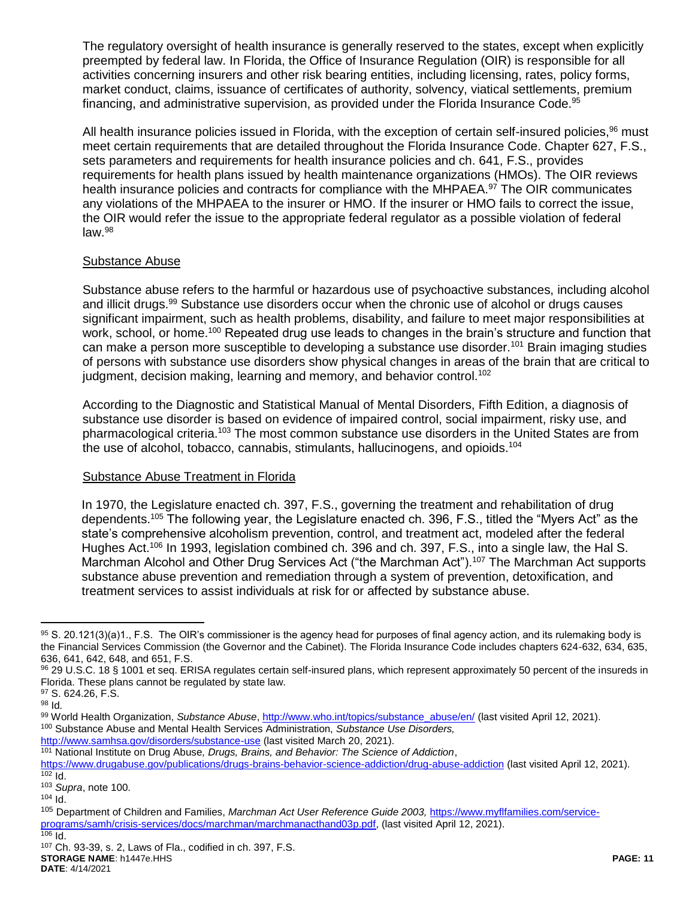The regulatory oversight of health insurance is generally reserved to the states, except when explicitly preempted by federal law. In Florida, the Office of Insurance Regulation (OIR) is responsible for all activities concerning insurers and other risk bearing entities, including licensing, rates, policy forms, market conduct, claims, issuance of certificates of authority, solvency, viatical settlements, premium financing, and administrative supervision, as provided under the Florida Insurance Code.<sup>95</sup>

All health insurance policies issued in Florida, with the exception of certain self-insured policies.<sup>96</sup> must meet certain requirements that are detailed throughout the Florida Insurance Code. Chapter 627, F.S., sets parameters and requirements for health insurance policies and ch. 641, F.S., provides requirements for health plans issued by health maintenance organizations (HMOs). The OIR reviews health insurance policies and contracts for compliance with the MHPAEA.<sup>97</sup> The OIR communicates any violations of the MHPAEA to the insurer or HMO. If the insurer or HMO fails to correct the issue, the OIR would refer the issue to the appropriate federal regulator as a possible violation of federal  $law.<sup>98</sup>$ 

### Substance Abuse

<span id="page-10-0"></span>Substance abuse refers to the harmful or hazardous use of psychoactive substances, including alcohol and illicit drugs.<sup>99</sup> Substance use disorders occur when the chronic use of alcohol or drugs causes significant impairment, such as health problems, disability, and failure to meet major responsibilities at work, school, or home.<sup>100</sup> Repeated drug use leads to changes in the brain's structure and function that can make a person more susceptible to developing a substance use disorder.<sup>101</sup> Brain imaging studies of persons with substance use disorders show physical changes in areas of the brain that are critical to judgment, decision making, learning and memory, and behavior control.<sup>102</sup>

According to the Diagnostic and Statistical Manual of Mental Disorders, Fifth Edition, a diagnosis of substance use disorder is based on evidence of impaired control, social impairment, risky use, and pharmacological criteria.<sup>103</sup> The most common substance use disorders in the United States are from the use of alcohol, tobacco, cannabis, stimulants, hallucinogens, and opioids.<sup>104</sup>

### Substance Abuse Treatment in Florida

In 1970, the Legislature enacted ch. 397, F.S., governing the treatment and rehabilitation of drug dependents.<sup>105</sup> The following year, the Legislature enacted ch. 396, F.S., titled the "Myers Act" as the state's comprehensive alcoholism prevention, control, and treatment act, modeled after the federal Hughes Act.<sup>106</sup> In 1993, legislation combined ch. 396 and ch. 397, F.S., into a single law, the Hal S. Marchman Alcohol and Other Drug Services Act ("the Marchman Act").<sup>107</sup> The Marchman Act supports substance abuse prevention and remediation through a system of prevention, detoxification, and treatment services to assist individuals at risk for or affected by substance abuse.

<sup>95</sup> S. 20.121(3)(a)1., F.S. The OIR's commissioner is the agency head for purposes of final agency action, and its rulemaking body is the Financial Services Commission (the Governor and the Cabinet). The Florida Insurance Code includes chapters 624-632, 634, 635, 636, 641, 642, 648, and 651, F.S.

<sup>96</sup> 29 U.S.C. 18 § 1001 et seq. ERISA regulates certain self-insured plans, which represent approximately 50 percent of the insureds in Florida. These plans cannot be regulated by state law.

<sup>97</sup> S. 624.26, F.S.

<sup>98</sup> Id*.*

<sup>99</sup> World Health Organization, *Substance Abuse*, *http://www.who.int/topics/substance\_abuse/en/* (last visited April 12, 2021). <sup>100</sup> Substance Abuse and Mental Health Services Administration, *Substance Use Disorders,* <http://www.samhsa.gov/disorders/substance-use> (last visited March 20, 2021).

<sup>101</sup> National Institute on Drug Abuse*, Drugs, Brains, and Behavior: The Science of Addiction*,

<https://www.drugabuse.gov/publications/drugs-brains-behavior-science-addiction/drug-abuse-addiction> (last visited April 12, 2021).  $102$  Id.

<sup>103</sup> *Supra*, not[e 100.](#page-10-0)

 $104$  Id.

<sup>105</sup> Department of Children and Families, *Marchman Act User Reference Guide 2003,* [https://www.myflfamilies.com/service](https://www.myflfamilies.com/service-programs/samh/crisis-services/docs/marchman/marchmanacthand03p.pdf)[programs/samh/crisis-services/docs/marchman/marchmanacthand03p.pdf,](https://www.myflfamilies.com/service-programs/samh/crisis-services/docs/marchman/marchmanacthand03p.pdf) (last visited April 12, 2021).

 $106$  Id.

**STORAGE NAME**: h1447e.HHS **PAGE: 11** <sup>107</sup> Ch. 93-39, s. 2, Laws of Fla., codified in ch. 397, F.S.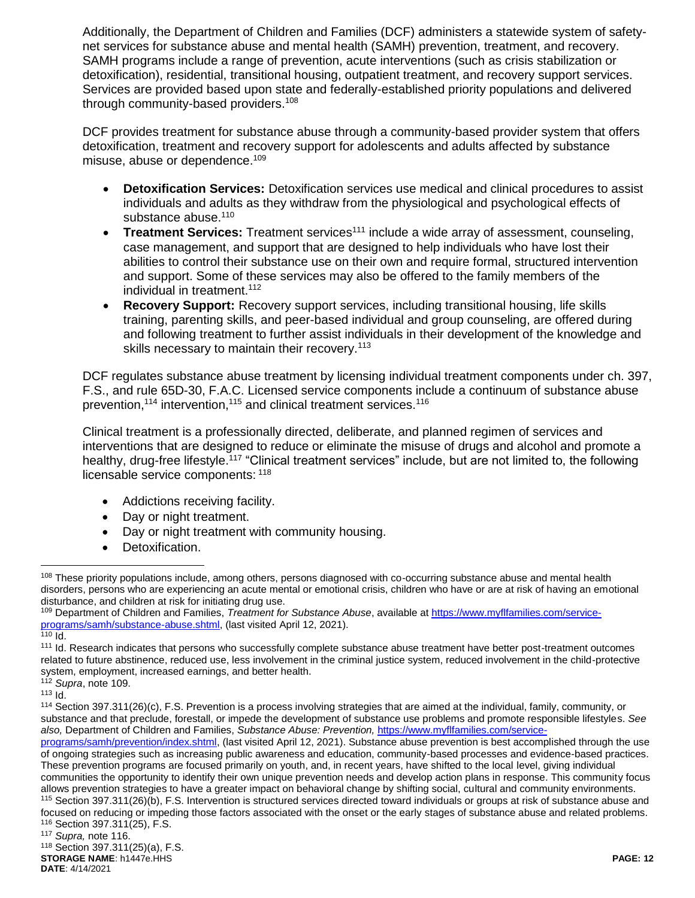Additionally, the Department of Children and Families (DCF) administers a statewide system of safetynet services for substance abuse and mental health (SAMH) prevention, treatment, and recovery. SAMH programs include a range of prevention, acute interventions (such as crisis stabilization or detoxification), residential, transitional housing, outpatient treatment, and recovery support services. Services are provided based upon state and federally-established priority populations and delivered through community-based providers.<sup>108</sup>

DCF provides treatment for substance abuse through a community-based provider system that offers detoxification, treatment and recovery support for adolescents and adults affected by substance misuse, abuse or dependence.<sup>109</sup>

- <span id="page-11-0"></span> **Detoxification Services:** Detoxification services use medical and clinical procedures to assist individuals and adults as they withdraw from the physiological and psychological effects of substance abuse.<sup>110</sup>
- **Treatment Services:** Treatment services<sup>111</sup> include a wide array of assessment, counseling, case management, and support that are designed to help individuals who have lost their abilities to control their substance use on their own and require formal, structured intervention and support. Some of these services may also be offered to the family members of the individual in treatment.<sup>112</sup>
- **Recovery Support:** Recovery support services, including transitional housing, life skills training, parenting skills, and peer-based individual and group counseling, are offered during and following treatment to further assist individuals in their development of the knowledge and skills necessary to maintain their recovery.<sup>113</sup>

DCF regulates substance abuse treatment by licensing individual treatment components under ch. 397, F.S., and rule 65D-30, F.A.C. Licensed service components include a continuum of substance abuse prevention,  $114$  intervention,  $115$  and clinical treatment services.  $116$ 

Clinical treatment is a professionally directed, deliberate, and planned regimen of services and interventions that are designed to reduce or eliminate the misuse of drugs and alcohol and promote a healthy, drug-free lifestyle.<sup>117</sup> "Clinical treatment services" include, but are not limited to, the following licensable service components: <sup>118</sup>

- <span id="page-11-1"></span>• Addictions receiving facility.
- Day or night treatment.
- Day or night treatment with community housing.
- Detoxification.

communities the opportunity to identify their own unique prevention needs and develop action plans in response. This community focus allows prevention strategies to have a greater impact on behavioral change by shifting social, cultural and community environments.

115 Section 397.311(26)(b), F.S. Intervention is structured services directed toward individuals or groups at risk of substance abuse and focused on reducing or impeding those factors associated with the onset or the early stages of substance abuse and related problems. <sup>116</sup> Section 397.311(25), F.S.

 $\overline{a}$ <sup>108</sup> These priority populations include, among others, persons diagnosed with co-occurring substance abuse and mental health disorders, persons who are experiencing an acute mental or emotional crisis, children who have or are at risk of having an emotional disturbance, and children at risk for initiating drug use.

<sup>109</sup> Department of Children and Families, *Treatment for Substance Abuse*, available at [https://www.myflfamilies.com/service](https://www.myflfamilies.com/service-programs/samh/substance-abuse.shtml)[programs/samh/substance-abuse.shtml,](https://www.myflfamilies.com/service-programs/samh/substance-abuse.shtml) (last visited April 12, 2021).

 $\overline{110}$  Id.

<sup>111</sup> Id. Research indicates that persons who successfully complete substance abuse treatment have better post-treatment outcomes related to future abstinence, reduced use, less involvement in the criminal justice system, reduced involvement in the child-protective system, employment, increased earnings, and better health. <sup>112</sup> *Supra*, not[e 109.](#page-11-0)

 $113$   $Id.$ 

<sup>114</sup> Section 397.311(26)(c), F.S. Prevention is a process involving strategies that are aimed at the individual, family, community, or substance and that preclude, forestall, or impede the development of substance use problems and promote responsible lifestyles. *See also,* Department of Children and Families, *Substance Abuse: Prevention,* [https://www.myflfamilies.com/service-](https://www.myflfamilies.com/service-programs/samh/prevention/index.shtml)

[programs/samh/prevention/index.shtml,](https://www.myflfamilies.com/service-programs/samh/prevention/index.shtml) (last visited April 12, 2021). Substance abuse prevention is best accomplished through the use of ongoing strategies such as increasing public awareness and education, community-based processes and evidence-based practices. These prevention programs are focused primarily on youth, and, in recent years, have shifted to the local level, giving individual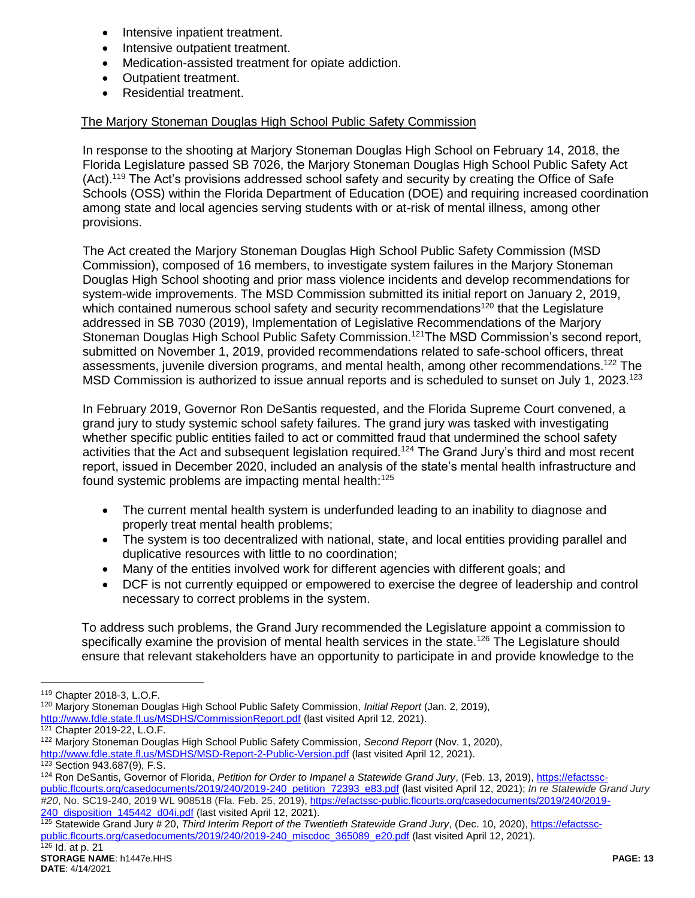- Intensive inpatient treatment.
- Intensive outpatient treatment.
- Medication-assisted treatment for opiate addiction.
- Outpatient treatment.
- Residential treatment.

### The Marjory Stoneman Douglas High School Public Safety Commission

In response to the shooting at Marjory Stoneman Douglas High School on February 14, 2018, the Florida Legislature passed SB 7026, the Marjory Stoneman Douglas High School Public Safety Act (Act).<sup>119</sup> The Act's provisions addressed school safety and security by creating the Office of Safe Schools (OSS) within the Florida Department of Education (DOE) and requiring increased coordination among state and local agencies serving students with or at-risk of mental illness, among other provisions.

The Act created the Marjory Stoneman Douglas High School Public Safety Commission (MSD Commission), composed of 16 members, to investigate system failures in the Marjory Stoneman Douglas High School shooting and prior mass violence incidents and develop recommendations for system-wide improvements. The MSD Commission submitted its initial report on January 2, 2019, which contained numerous school safety and security recommendations<sup>120</sup> that the Legislature addressed in SB 7030 (2019), Implementation of Legislative Recommendations of the Marjory Stoneman Douglas High School Public Safety Commission.<sup>121</sup>The MSD Commission's second report, submitted on November 1, 2019, provided recommendations related to safe-school officers, threat assessments, juvenile diversion programs, and mental health, among other recommendations.<sup>122</sup> The MSD Commission is authorized to issue annual reports and is scheduled to sunset on July 1, 2023.<sup>123</sup>

In February 2019, Governor Ron DeSantis requested, and the Florida Supreme Court convened, a grand jury to study systemic school safety failures. The grand jury was tasked with investigating whether specific public entities failed to act or committed fraud that undermined the school safety activities that the Act and subsequent legislation required.<sup>124</sup> The Grand Jury's third and most recent report, issued in December 2020, included an analysis of the state's mental health infrastructure and found systemic problems are impacting mental health:<sup>125</sup>

- <span id="page-12-0"></span> The current mental health system is underfunded leading to an inability to diagnose and properly treat mental health problems;
- The system is too decentralized with national, state, and local entities providing parallel and duplicative resources with little to no coordination;
- Many of the entities involved work for different agencies with different goals; and
- DCF is not currently equipped or empowered to exercise the degree of leadership and control necessary to correct problems in the system.

To address such problems, the Grand Jury recommended the Legislature appoint a commission to specifically examine the provision of mental health services in the state.<sup>126</sup> The Legislature should ensure that relevant stakeholders have an opportunity to participate in and provide knowledge to the

 $\overline{a}$ 

<sup>120</sup> Marjory Stoneman Douglas High School Public Safety Commission, *Initial Report* (Jan. 2, 2019), <http://www.fdle.state.fl.us/MSDHS/CommissionReport.pdf> (last visited April 12, 2021).

<sup>119</sup> Chapter 2018-3, L.O.F.

<sup>121</sup> Chapter 2019-22, L.O.F.

<sup>122</sup> Marjory Stoneman Douglas High School Public Safety Commission, *Second Report* (Nov. 1, 2020), <http://www.fdle.state.fl.us/MSDHS/MSD-Report-2-Public-Version.pdf> (last visited April 12, 2021). <sup>123</sup> Section 943.687(9), F.S.

<sup>124</sup> Ron DeSantis, Governor of Florida, *Petition for Order to Impanel a Statewide Grand Jury*, (Feb. 13, 2019)[, https://efactssc-](https://efactssc-public.flcourts.org/casedocuments/2019/240/2019-240_petition_72393_e83.pdf)

[public.flcourts.org/casedocuments/2019/240/2019-240\\_petition\\_72393\\_e83.pdf](https://efactssc-public.flcourts.org/casedocuments/2019/240/2019-240_petition_72393_e83.pdf) (last visited April 12, 2021); *In re [Statewide Grand Jury](https://1.next.westlaw.com/Link/Document/FullText?findType=Y&serNum=2047630499&pubNum=0000999&originatingDoc=I8358878b077f11eb9c47daf1c707eb33&refType=RP&originationContext=document&transitionType=DocumentItem&contextData=(sc.Keycite))  #20*[, No. SC19-240, 2019 WL 908518 \(Fla. Feb. 25, 2019\),](https://1.next.westlaw.com/Link/Document/FullText?findType=Y&serNum=2047630499&pubNum=0000999&originatingDoc=I8358878b077f11eb9c47daf1c707eb33&refType=RP&originationContext=document&transitionType=DocumentItem&contextData=(sc.Keycite)) [https://efactssc-public.flcourts.org/casedocuments/2019/240/2019-](https://efactssc-public.flcourts.org/casedocuments/2019/240/2019-240_disposition_145442_d04i.pdf) [240\\_disposition\\_145442\\_d04i.pdf](https://efactssc-public.flcourts.org/casedocuments/2019/240/2019-240_disposition_145442_d04i.pdf) (last visited April 12, 2021).

<sup>125</sup> Statewide Grand Jury # 20, *Third Interim Report of the Twentieth Statewide Grand Jury*, (Dec. 10, 2020)[, https://efactssc](https://efactssc-public.flcourts.org/casedocuments/2019/240/2019-240_miscdoc_365089_e20.pdf)[public.flcourts.org/casedocuments/2019/240/2019-240\\_miscdoc\\_365089\\_e20.pdf](https://efactssc-public.flcourts.org/casedocuments/2019/240/2019-240_miscdoc_365089_e20.pdf) (last visited April 12, 2021).  $126$  Id. at p. 21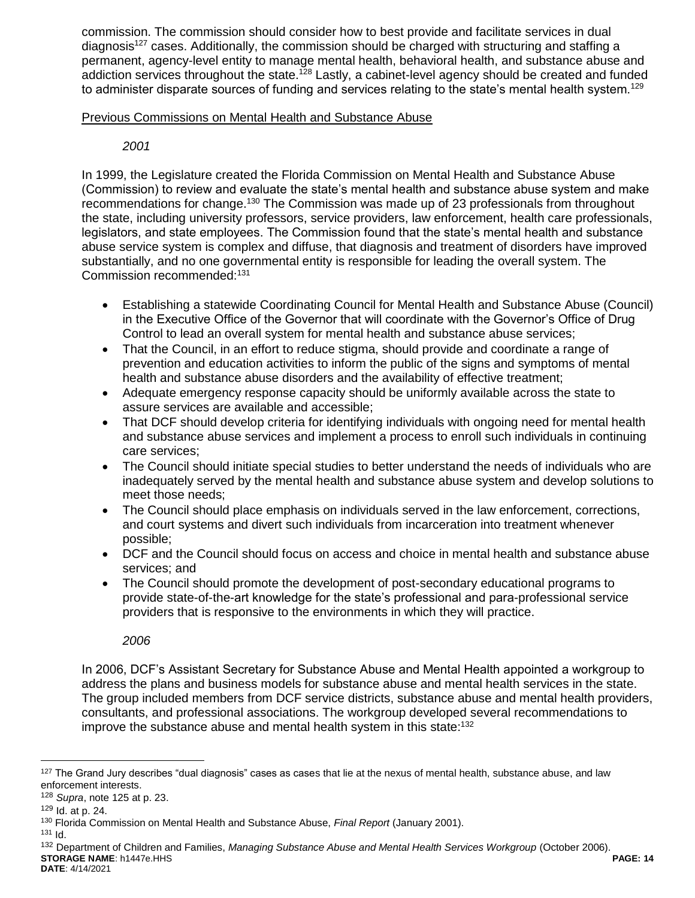commission. The commission should consider how to best provide and facilitate services in dual diagnosis<sup>127</sup> cases. Additionally, the commission should be charged with structuring and staffing a permanent, agency-level entity to manage mental health, behavioral health, and substance abuse and addiction services throughout the state.<sup>128</sup> Lastly, a cabinet-level agency should be created and funded to administer disparate sources of funding and services relating to the state's mental health system.<sup>129</sup>

### Previous Commissions on Mental Health and Substance Abuse

## *2001*

In 1999, the Legislature created the Florida Commission on Mental Health and Substance Abuse (Commission) to review and evaluate the state's mental health and substance abuse system and make recommendations for change.<sup>130</sup> The Commission was made up of 23 professionals from throughout the state, including university professors, service providers, law enforcement, health care professionals, legislators, and state employees. The Commission found that the state's mental health and substance abuse service system is complex and diffuse, that diagnosis and treatment of disorders have improved substantially, and no one governmental entity is responsible for leading the overall system. The Commission recommended:<sup>131</sup>

- Establishing a statewide Coordinating Council for Mental Health and Substance Abuse (Council) in the Executive Office of the Governor that will coordinate with the Governor's Office of Drug Control to lead an overall system for mental health and substance abuse services;
- That the Council, in an effort to reduce stigma, should provide and coordinate a range of prevention and education activities to inform the public of the signs and symptoms of mental health and substance abuse disorders and the availability of effective treatment;
- Adequate emergency response capacity should be uniformly available across the state to assure services are available and accessible;
- That DCF should develop criteria for identifying individuals with ongoing need for mental health and substance abuse services and implement a process to enroll such individuals in continuing care services;
- The Council should initiate special studies to better understand the needs of individuals who are inadequately served by the mental health and substance abuse system and develop solutions to meet those needs;
- The Council should place emphasis on individuals served in the law enforcement, corrections, and court systems and divert such individuals from incarceration into treatment whenever possible;
- DCF and the Council should focus on access and choice in mental health and substance abuse services; and
- The Council should promote the development of post-secondary educational programs to provide state-of-the-art knowledge for the state's professional and para-professional service providers that is responsive to the environments in which they will practice.

*2006*

In 2006, DCF's Assistant Secretary for Substance Abuse and Mental Health appointed a workgroup to address the plans and business models for substance abuse and mental health services in the state. The group included members from DCF service districts, substance abuse and mental health providers, consultants, and professional associations. The workgroup developed several recommendations to improve the substance abuse and mental health system in this state:<sup>132</sup>

 $127$  The Grand Jury describes "dual diagnosis" cases as cases that lie at the nexus of mental health, substance abuse, and law enforcement interests.

<sup>128</sup> *Supra*, not[e 125](#page-12-0) at p. 23.

<sup>129</sup> Id. at p. 24.

<sup>130</sup> Florida Commission on Mental Health and Substance Abuse, *Final Report* (January 2001).

<sup>131</sup> Id.

**STORAGE NAME**: h1447e.HHS **PAGE: 14** <sup>132</sup> Department of Children and Families, *Managing Substance Abuse and Mental Health Services Workgroup* (October 2006).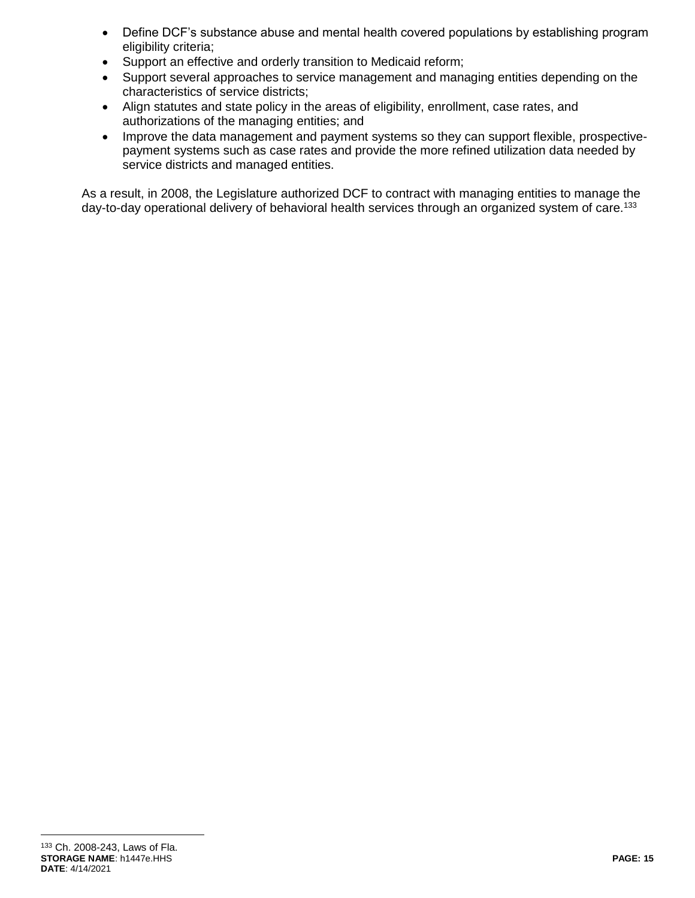- Define DCF's substance abuse and mental health covered populations by establishing program eligibility criteria;
- Support an effective and orderly transition to Medicaid reform;
- Support several approaches to service management and managing entities depending on the characteristics of service districts;
- Align statutes and state policy in the areas of eligibility, enrollment, case rates, and authorizations of the managing entities; and
- Improve the data management and payment systems so they can support flexible, prospectivepayment systems such as case rates and provide the more refined utilization data needed by service districts and managed entities.

As a result, in 2008, the Legislature authorized DCF to contract with managing entities to manage the day-to-day operational delivery of behavioral health services through an organized system of care.<sup>133</sup>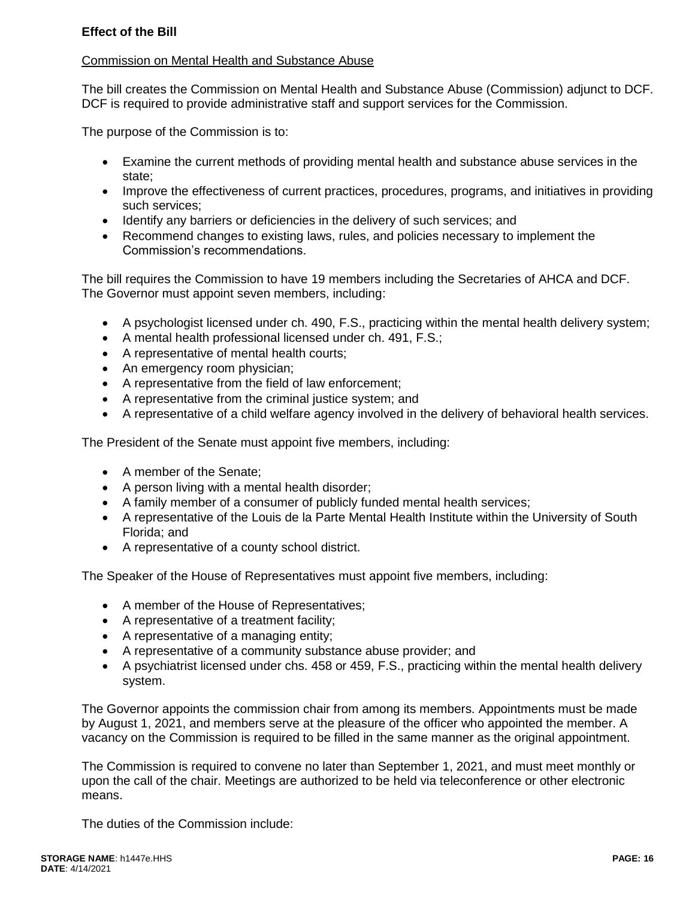## **Effect of the Bill**

### Commission on Mental Health and Substance Abuse

The bill creates the Commission on Mental Health and Substance Abuse (Commission) adjunct to DCF. DCF is required to provide administrative staff and support services for the Commission.

The purpose of the Commission is to:

- Examine the current methods of providing mental health and substance abuse services in the state;
- Improve the effectiveness of current practices, procedures, programs, and initiatives in providing such services;
- Identify any barriers or deficiencies in the delivery of such services; and
- Recommend changes to existing laws, rules, and policies necessary to implement the Commission's recommendations.

The bill requires the Commission to have 19 members including the Secretaries of AHCA and DCF. The Governor must appoint seven members, including:

- A psychologist licensed under ch. 490, F.S., practicing within the mental health delivery system;
- A mental health professional licensed under ch. 491, F.S.;
- A representative of mental health courts;
- An emergency room physician;
- A representative from the field of law enforcement;
- A representative from the criminal justice system; and
- A representative of a child welfare agency involved in the delivery of behavioral health services.

The President of the Senate must appoint five members, including:

- A member of the Senate;
- A person living with a mental health disorder;
- A family member of a consumer of publicly funded mental health services;
- A representative of the Louis de la Parte Mental Health Institute within the University of South Florida; and
- A representative of a county school district.

The Speaker of the House of Representatives must appoint five members, including:

- A member of the House of Representatives;
- A representative of a treatment facility;
- A representative of a managing entity;
- A representative of a community substance abuse provider; and
- A psychiatrist licensed under chs. 458 or 459, F.S., practicing within the mental health delivery system.

The Governor appoints the commission chair from among its members. Appointments must be made by August 1, 2021, and members serve at the pleasure of the officer who appointed the member. A vacancy on the Commission is required to be filled in the same manner as the original appointment.

The Commission is required to convene no later than September 1, 2021, and must meet monthly or upon the call of the chair. Meetings are authorized to be held via teleconference or other electronic means.

The duties of the Commission include: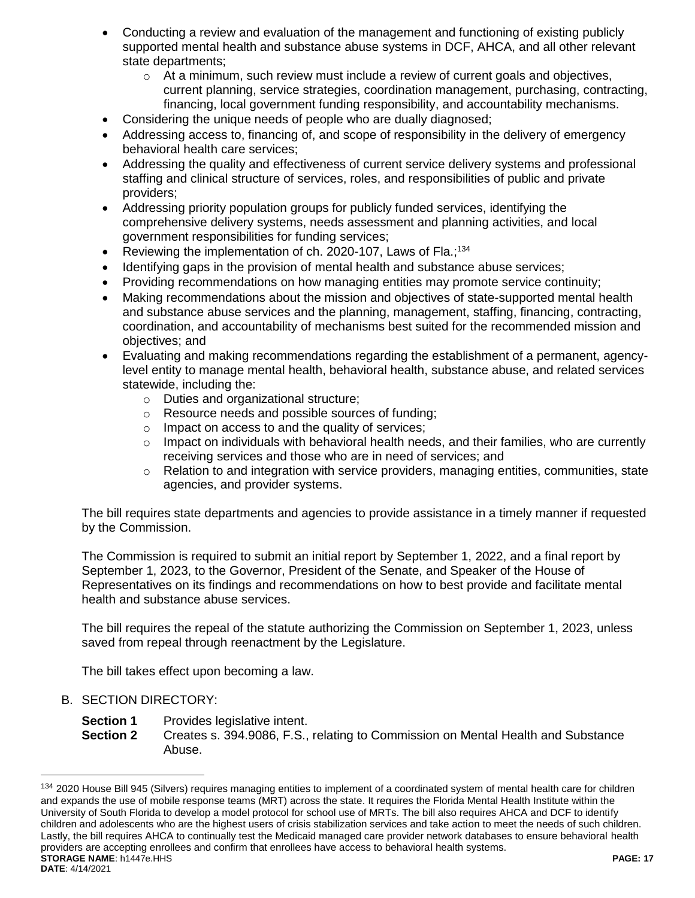- Conducting a review and evaluation of the management and functioning of existing publicly supported mental health and substance abuse systems in DCF, AHCA, and all other relevant state departments;
	- $\circ$  At a minimum, such review must include a review of current goals and objectives, current planning, service strategies, coordination management, purchasing, contracting, financing, local government funding responsibility, and accountability mechanisms.
- Considering the unique needs of people who are dually diagnosed;
- Addressing access to, financing of, and scope of responsibility in the delivery of emergency behavioral health care services;
- Addressing the quality and effectiveness of current service delivery systems and professional staffing and clinical structure of services, roles, and responsibilities of public and private providers;
- Addressing priority population groups for publicly funded services, identifying the comprehensive delivery systems, needs assessment and planning activities, and local government responsibilities for funding services;
- Reviewing the implementation of ch. 2020-107, Laws of Fla.;<sup>134</sup>
- Identifying gaps in the provision of mental health and substance abuse services;
- Providing recommendations on how managing entities may promote service continuity;
- Making recommendations about the mission and objectives of state-supported mental health and substance abuse services and the planning, management, staffing, financing, contracting, coordination, and accountability of mechanisms best suited for the recommended mission and objectives; and
- Evaluating and making recommendations regarding the establishment of a permanent, agencylevel entity to manage mental health, behavioral health, substance abuse, and related services statewide, including the:
	- o Duties and organizational structure;
	- o Resource needs and possible sources of funding;
	- o Impact on access to and the quality of services;
	- $\circ$  Impact on individuals with behavioral health needs, and their families, who are currently receiving services and those who are in need of services; and
	- $\circ$  Relation to and integration with service providers, managing entities, communities, state agencies, and provider systems.

The bill requires state departments and agencies to provide assistance in a timely manner if requested by the Commission.

The Commission is required to submit an initial report by September 1, 2022, and a final report by September 1, 2023, to the Governor, President of the Senate, and Speaker of the House of Representatives on its findings and recommendations on how to best provide and facilitate mental health and substance abuse services.

The bill requires the repeal of the statute authorizing the Commission on September 1, 2023, unless saved from repeal through reenactment by the Legislature.

The bill takes effect upon becoming a law.

B. SECTION DIRECTORY:

- **Section 1** Provides legislative intent.
- **Section 2** Creates s. 394.9086, F.S., relating to Commission on Mental Health and Substance Abuse.

**STORAGE NAME**: h1447e.HHS **PAGE: 17 DATE**: 4/14/2021 <sup>134</sup> 2020 House Bill 945 (Silvers) requires managing entities to implement of a coordinated system of mental health care for children and expands the use of mobile response teams (MRT) across the state. It requires the Florida Mental Health Institute within the University of South Florida to develop a model protocol for school use of MRTs. The bill also requires AHCA and DCF to identify children and adolescents who are the highest users of crisis stabilization services and take action to meet the needs of such children. Lastly, the bill requires AHCA to continually test the Medicaid managed care provider network databases to ensure behavioral health providers are accepting enrollees and confirm that enrollees have access to behavioral health systems.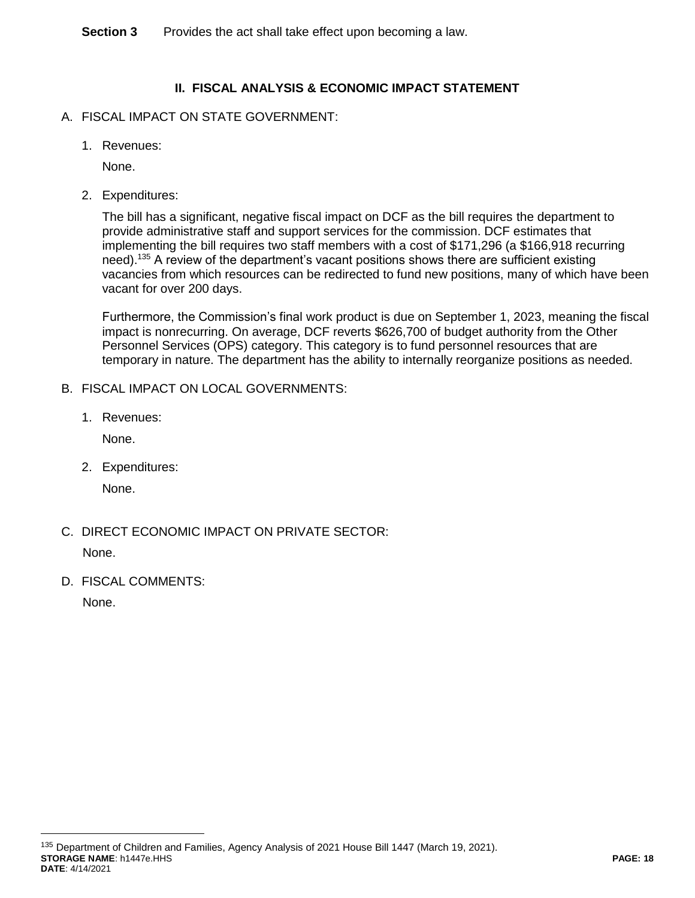**Section 3** Provides the act shall take effect upon becoming a law.

# **II. FISCAL ANALYSIS & ECONOMIC IMPACT STATEMENT**

- A. FISCAL IMPACT ON STATE GOVERNMENT:
	- 1. Revenues:

None.

2. Expenditures:

The bill has a significant, negative fiscal impact on DCF as the bill requires the department to provide administrative staff and support services for the commission. DCF estimates that implementing the bill requires two staff members with a cost of \$171,296 (a \$166,918 recurring need).<sup>135</sup> A review of the department's vacant positions shows there are sufficient existing vacancies from which resources can be redirected to fund new positions, many of which have been vacant for over 200 days.

Furthermore, the Commission's final work product is due on September 1, 2023, meaning the fiscal impact is nonrecurring. On average, DCF reverts \$626,700 of budget authority from the Other Personnel Services (OPS) category. This category is to fund personnel resources that are temporary in nature. The department has the ability to internally reorganize positions as needed.

- B. FISCAL IMPACT ON LOCAL GOVERNMENTS:
	- 1. Revenues:

None.

2. Expenditures:

None.

C. DIRECT ECONOMIC IMPACT ON PRIVATE SECTOR:

None.

D. FISCAL COMMENTS:

None.